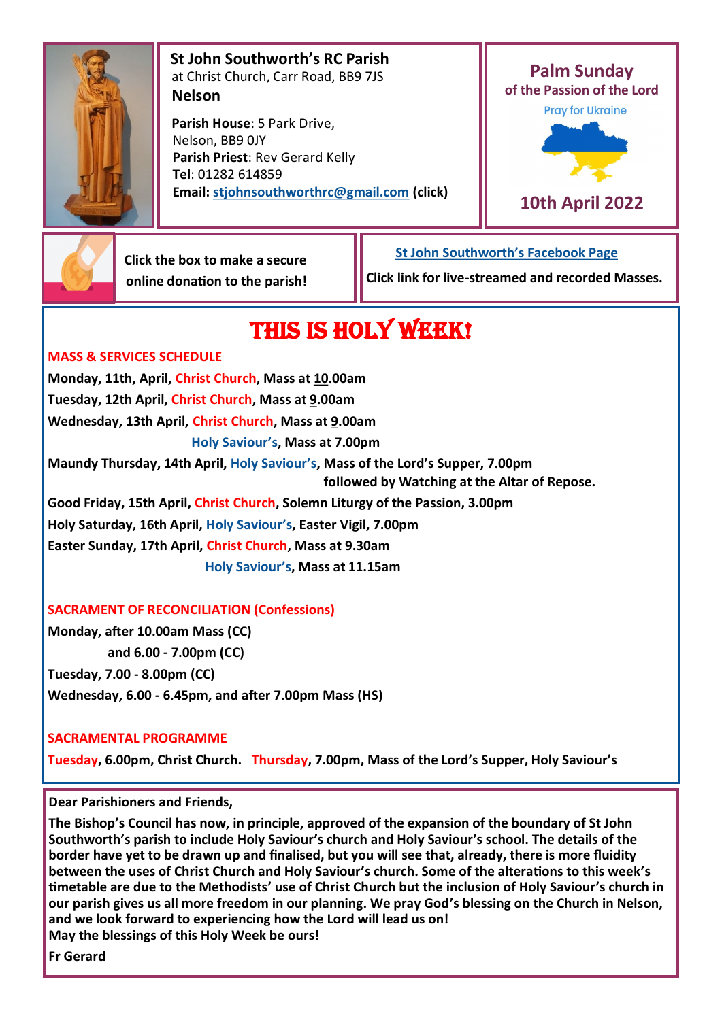

 **St John Southworth's RC Parish** at Christ Church, Carr Road, BB9 7JS **Nelson**

 **Parish House**: 5 Park Drive, Nelson, BB9 0JY **Parish Priest**: Rev Gerard Kelly **Tel**: 01282 614859 **Email: [stjohnsouthworthrc@gmail.com](mailto:stjohnsouthworth@gmail.com) (click)**



**10th April 2022**



 **Click the box to make a secure online donation to the parish!**

 **[St John Southworth's Facebook Page](https://www.facebook.com/Parish-of-St-John-Southworth-in-Nelson-105718084323986) Click link for live-streamed and recorded Masses.**

# THIS IS HOLY WEEK!

## **MASS & SERVICES SCHEDULE**

**Monday, 11th, April, Christ Church, Mass at 10.00am Tuesday, 12th April, Christ Church, Mass at 9.00am Wednesday, 13th April, Christ Church, Mass at 9.00am Holy Saviour's, Mass at 7.00pm Maundy Thursday, 14th April, Holy Saviour's, Mass of the Lord's Supper, 7.00pm followed by Watching at the Altar of Repose. Good Friday, 15th April, Christ Church, Solemn Liturgy of the Passion, 3.00pm Holy Saturday, 16th April, Holy Saviour's, Easter Vigil, 7.00pm Easter Sunday, 17th April, Christ Church, Mass at 9.30am Holy Saviour's, Mass at 11.15am**

## **SACRAMENT OF RECONCILIATION (Confessions)**

**Monday, after 10.00am Mass (CC) and 6.00 - 7.00pm (CC) Tuesday, 7.00 - 8.00pm (CC) Wednesday, 6.00 - 6.45pm, and after 7.00pm Mass (HS)**

## **SACRAMENTAL PROGRAMME**

**Tuesday, 6.00pm, Christ Church. Thursday, 7.00pm, Mass of the Lord's Supper, Holy Saviour's**

**Dear Parishioners and Friends,**

**The Bishop's Council has now, in principle, approved of the expansion of the boundary of St John Southworth's parish to include Holy Saviour's church and Holy Saviour's school. The details of the border have yet to be drawn up and finalised, but you will see that, already, there is more fluidity between the uses of Christ Church and Holy Saviour's church. Some of the alterations to this week's timetable are due to the Methodists' use of Christ Church but the inclusion of Holy Saviour's church in our parish gives us all more freedom in our planning. We pray God's blessing on the Church in Nelson, and we look forward to experiencing how the Lord will lead us on! May the blessings of this Holy Week be ours!**

**Fr Gerard**